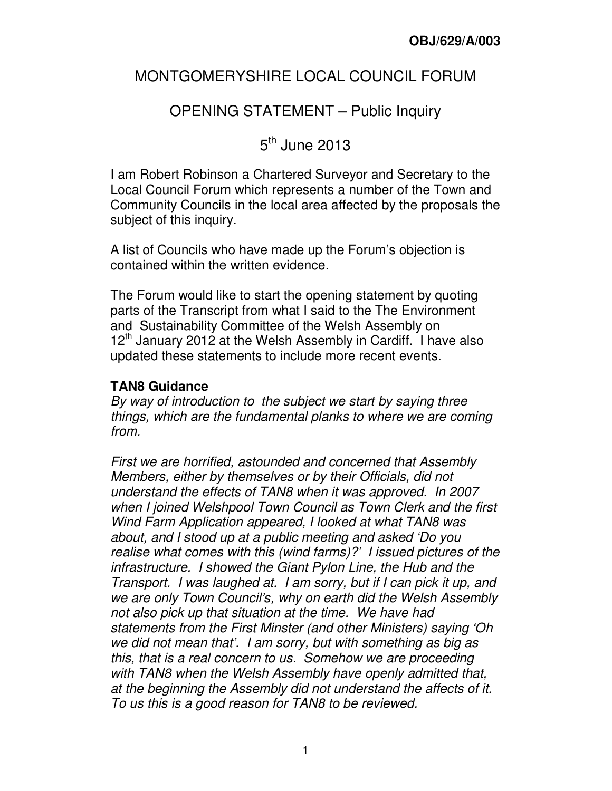## MONTGOMERYSHIRE LOCAL COUNCIL FORUM

# OPENING STATEMENT – Public Inquiry

5<sup>th</sup> June 2013

I am Robert Robinson a Chartered Surveyor and Secretary to the Local Council Forum which represents a number of the Town and Community Councils in the local area affected by the proposals the subject of this inquiry.

A list of Councils who have made up the Forum's objection is contained within the written evidence.

The Forum would like to start the opening statement by quoting parts of the Transcript from what I said to the The Environment and Sustainability Committee of the Welsh Assembly on 12<sup>th</sup> January 2012 at the Welsh Assembly in Cardiff. I have also updated these statements to include more recent events.

### **TAN8 Guidance**

By way of introduction to the subject we start by saying three things, which are the fundamental planks to where we are coming from.

First we are horrified, astounded and concerned that Assembly Members, either by themselves or by their Officials, did not understand the effects of TAN8 when it was approved. In 2007 when I joined Welshpool Town Council as Town Clerk and the first Wind Farm Application appeared, I looked at what TAN8 was about, and I stood up at a public meeting and asked 'Do you realise what comes with this (wind farms)?' I issued pictures of the infrastructure. I showed the Giant Pylon Line, the Hub and the Transport. I was laughed at. I am sorry, but if I can pick it up, and we are only Town Council's, why on earth did the Welsh Assembly not also pick up that situation at the time. We have had statements from the First Minster (and other Ministers) saying 'Oh we did not mean that'. I am sorry, but with something as big as this, that is a real concern to us. Somehow we are proceeding with TAN8 when the Welsh Assembly have openly admitted that, at the beginning the Assembly did not understand the affects of it. To us this is a good reason for TAN8 to be reviewed.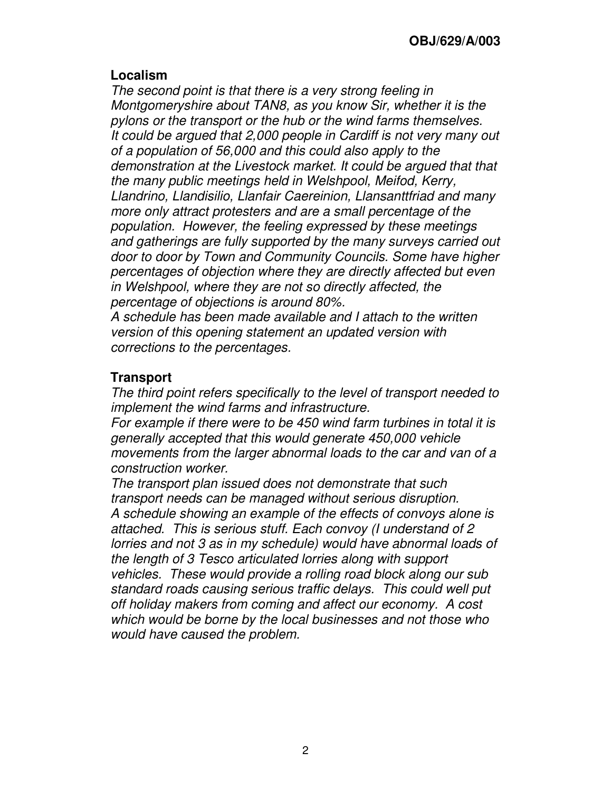#### **Localism**

The second point is that there is a very strong feeling in Montgomeryshire about TAN8, as you know Sir, whether it is the pylons or the transport or the hub or the wind farms themselves. It could be argued that 2,000 people in Cardiff is not very many out of a population of 56,000 and this could also apply to the demonstration at the Livestock market. It could be argued that that the many public meetings held in Welshpool, Meifod, Kerry, Llandrino, Llandisilio, Llanfair Caereinion, Llansanttfriad and many more only attract protesters and are a small percentage of the population. However, the feeling expressed by these meetings and gatherings are fully supported by the many surveys carried out door to door by Town and Community Councils. Some have higher percentages of objection where they are directly affected but even in Welshpool, where they are not so directly affected, the percentage of objections is around 80%.

A schedule has been made available and I attach to the written version of this opening statement an updated version with corrections to the percentages.

### **Transport**

The third point refers specifically to the level of transport needed to implement the wind farms and infrastructure.

For example if there were to be 450 wind farm turbines in total it is generally accepted that this would generate 450,000 vehicle movements from the larger abnormal loads to the car and van of a construction worker.

The transport plan issued does not demonstrate that such transport needs can be managed without serious disruption. A schedule showing an example of the effects of convoys alone is attached. This is serious stuff. Each convoy (I understand of 2 lorries and not 3 as in my schedule) would have abnormal loads of the length of 3 Tesco articulated lorries along with support vehicles. These would provide a rolling road block along our sub standard roads causing serious traffic delays. This could well put off holiday makers from coming and affect our economy. A cost which would be borne by the local businesses and not those who would have caused the problem.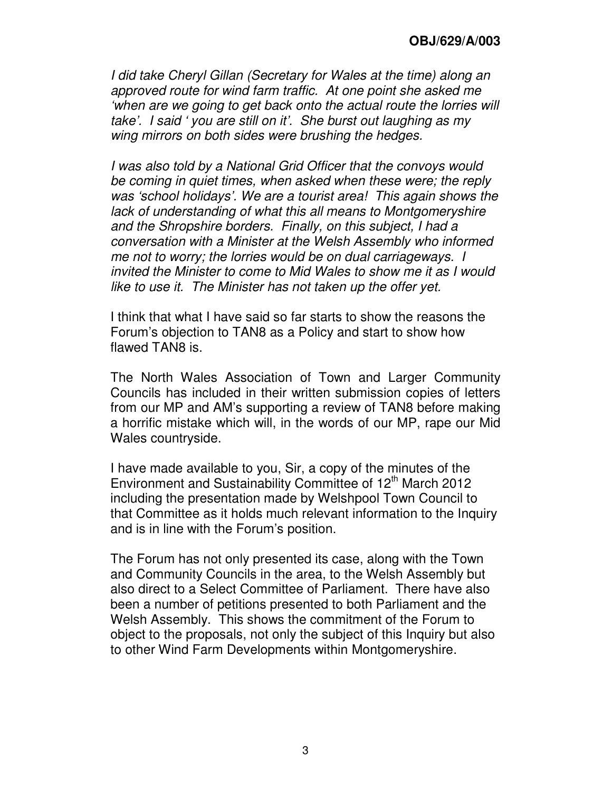I did take Cheryl Gillan (Secretary for Wales at the time) along an approved route for wind farm traffic. At one point she asked me 'when are we going to get back onto the actual route the lorries will take'. I said ' you are still on it'. She burst out laughing as my wing mirrors on both sides were brushing the hedges.

I was also told by a National Grid Officer that the convoys would be coming in quiet times, when asked when these were; the reply was 'school holidays'. We are a tourist area! This again shows the lack of understanding of what this all means to Montgomeryshire and the Shropshire borders. Finally, on this subject, I had a conversation with a Minister at the Welsh Assembly who informed me not to worry; the lorries would be on dual carriageways. I invited the Minister to come to Mid Wales to show me it as I would like to use it. The Minister has not taken up the offer yet.

I think that what I have said so far starts to show the reasons the Forum's objection to TAN8 as a Policy and start to show how flawed TAN8 is.

The North Wales Association of Town and Larger Community Councils has included in their written submission copies of letters from our MP and AM's supporting a review of TAN8 before making a horrific mistake which will, in the words of our MP, rape our Mid Wales countryside.

I have made available to you, Sir, a copy of the minutes of the Environment and Sustainability Committee of 12<sup>th</sup> March 2012 including the presentation made by Welshpool Town Council to that Committee as it holds much relevant information to the Inquiry and is in line with the Forum's position.

The Forum has not only presented its case, along with the Town and Community Councils in the area, to the Welsh Assembly but also direct to a Select Committee of Parliament. There have also been a number of petitions presented to both Parliament and the Welsh Assembly. This shows the commitment of the Forum to object to the proposals, not only the subject of this Inquiry but also to other Wind Farm Developments within Montgomeryshire.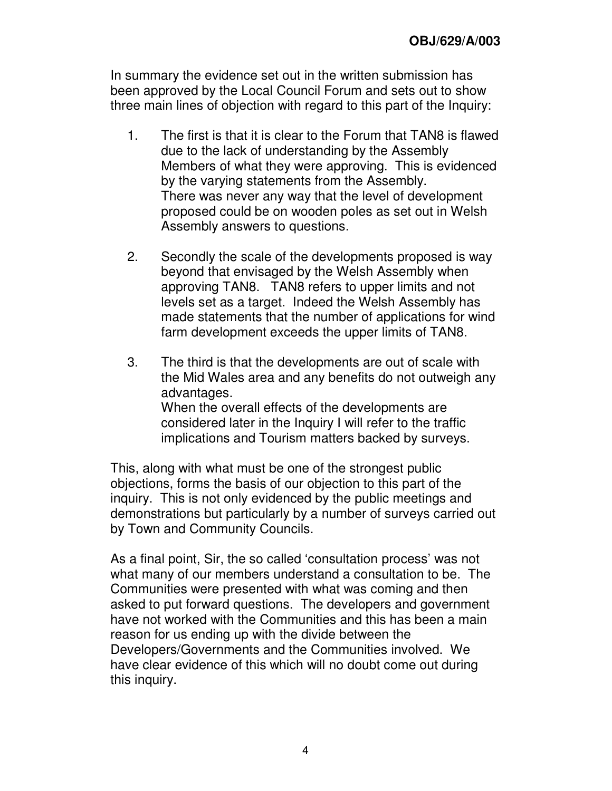In summary the evidence set out in the written submission has been approved by the Local Council Forum and sets out to show three main lines of objection with regard to this part of the Inquiry:

- 1. The first is that it is clear to the Forum that TAN8 is flawed due to the lack of understanding by the Assembly Members of what they were approving. This is evidenced by the varying statements from the Assembly. There was never any way that the level of development proposed could be on wooden poles as set out in Welsh Assembly answers to questions.
- 2. Secondly the scale of the developments proposed is way beyond that envisaged by the Welsh Assembly when approving TAN8. TAN8 refers to upper limits and not levels set as a target. Indeed the Welsh Assembly has made statements that the number of applications for wind farm development exceeds the upper limits of TAN8.
- 3. The third is that the developments are out of scale with the Mid Wales area and any benefits do not outweigh any advantages. When the overall effects of the developments are considered later in the Inquiry I will refer to the traffic implications and Tourism matters backed by surveys.

This, along with what must be one of the strongest public objections, forms the basis of our objection to this part of the inquiry. This is not only evidenced by the public meetings and demonstrations but particularly by a number of surveys carried out by Town and Community Councils.

As a final point, Sir, the so called 'consultation process' was not what many of our members understand a consultation to be. The Communities were presented with what was coming and then asked to put forward questions. The developers and government have not worked with the Communities and this has been a main reason for us ending up with the divide between the Developers/Governments and the Communities involved. We have clear evidence of this which will no doubt come out during this inquiry.